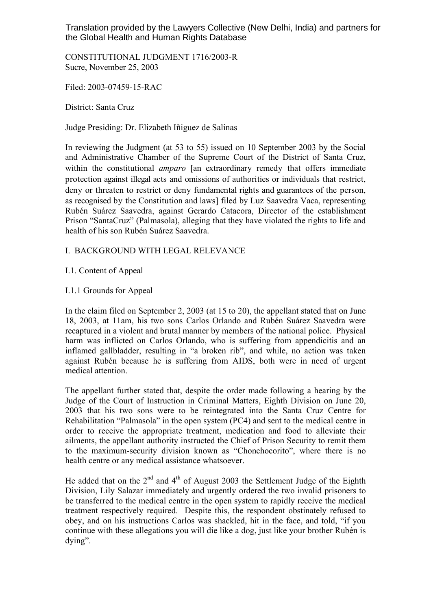Translation provided by the Lawyers Collective (New Delhi, India) and partners for the Global Health and Human Rights Database

CONSTITUTIONAL JUDGMENT 1716/2003-R Sucre, November 25, 2003

Filed: 2003-07459-15-RAC

District: Santa Cruz

Judge Presiding: Dr. Elizabeth Iñiguez de Salinas

In reviewing the Judgment (at 53 to 55) issued on 10 September 2003 by the Social and Administrative Chamber of the Supreme Court of the District of Santa Cruz, within the constitutional *amparo* [an extraordinary remedy that offers immediate protection against illegal acts and omissions of authorities or individuals that restrict, deny or threaten to restrict or deny fundamental rights and guarantees of the person, as recognised by the Constitution and laws] filed by Luz Saavedra Vaca, representing Rubén Suárez Saavedra, against Gerardo Catacora, Director of the establishment Prison "SantaCruz" (Palmasola), alleging that they have violated the rights to life and health of his son Rubén Suárez Saavedra.

## I. BACKGROUND WITH LEGAL RELEVANCE

## I.1. Content of Appeal

### I.1.1 Grounds for Appeal

In the claim filed on September 2, 2003 (at 15 to 20), the appellant stated that on June 18, 2003, at 11am, his two sons Carlos Orlando and Rubén Suárez Saavedra were recaptured in a violent and brutal manner by members of the national police. Physical harm was inflicted on Carlos Orlando, who is suffering from appendicitis and an inflamed gallbladder, resulting in "a broken rib", and while, no action was taken against Rubén because he is suffering from AIDS, both were in need of urgent medical attention.

The appellant further stated that, despite the order made following a hearing by the Judge of the Court of Instruction in Criminal Matters, Eighth Division on June 20, 2003 that his two sons were to be reintegrated into the Santa Cruz Centre for Rehabilitation "Palmasola" in the open system (PC4) and sent to the medical centre in order to receive the appropriate treatment, medication and food to alleviate their ailments, the appellant authority instructed the Chief of Prison Security to remit them to the maximum-security division known as "Chonchocorito", where there is no health centre or any medical assistance whatsoever.

He added that on the  $2<sup>nd</sup>$  and  $4<sup>th</sup>$  of August 2003 the Settlement Judge of the Eighth Division, Lily Salazar immediately and urgently ordered the two invalid prisoners to be transferred to the medical centre in the open system to rapidly receive the medical treatment respectively required. Despite this, the respondent obstinately refused to obey, and on his instructions Carlos was shackled, hit in the face, and told, "if you continue with these allegations you will die like a dog, just like your brother Rubén is dying".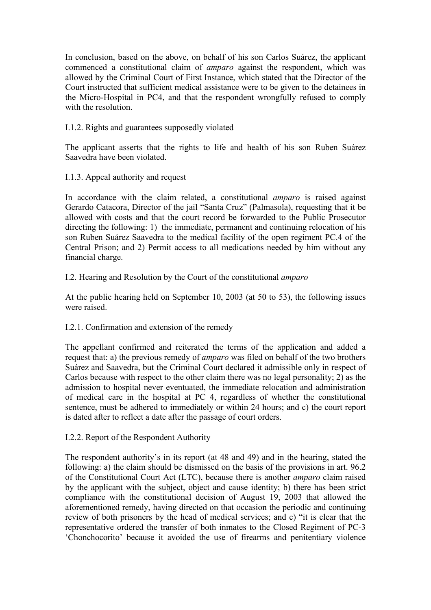In conclusion, based on the above, on behalf of his son Carlos Suárez, the applicant commenced a constitutional claim of *amparo* against the respondent, which was allowed by the Criminal Court of First Instance, which stated that the Director of the Court instructed that sufficient medical assistance were to be given to the detainees in the Micro-Hospital in PC4, and that the respondent wrongfully refused to comply with the resolution.

# I.1.2. Rights and guarantees supposedly violated

The applicant asserts that the rights to life and health of his son Ruben Suárez Saavedra have been violated.

I.1.3. Appeal authority and request

In accordance with the claim related, a constitutional *amparo* is raised against Gerardo Catacora, Director of the jail "Santa Cruz" (Palmasola), requesting that it be allowed with costs and that the court record be forwarded to the Public Prosecutor directing the following: 1) the immediate, permanent and continuing relocation of his son Ruben Suárez Saavedra to the medical facility of the open regiment PC.4 of the Central Prison; and 2) Permit access to all medications needed by him without any financial charge.

I.2. Hearing and Resolution by the Court of the constitutional *amparo*

At the public hearing held on September 10, 2003 (at 50 to 53), the following issues were raised.

# I.2.1. Confirmation and extension of the remedy

The appellant confirmed and reiterated the terms of the application and added a request that: a) the previous remedy of *amparo* was filed on behalf of the two brothers Suárez and Saavedra, but the Criminal Court declared it admissible only in respect of Carlos because with respect to the other claim there was no legal personality; 2) as the admission to hospital never eventuated, the immediate relocation and administration of medical care in the hospital at PC 4, regardless of whether the constitutional sentence, must be adhered to immediately or within 24 hours; and c) the court report is dated after to reflect a date after the passage of court orders.

I.2.2. Report of the Respondent Authority

The respondent authority's in its report (at 48 and 49) and in the hearing, stated the following: a) the claim should be dismissed on the basis of the provisions in art. 96.2 of the Constitutional Court Act (LTC), because there is another *amparo* claim raised by the applicant with the subject, object and cause identity; b) there has been strict compliance with the constitutional decision of August 19, 2003 that allowed the aforementioned remedy, having directed on that occasion the periodic and continuing review of both prisoners by the head of medical services; and c) "it is clear that the representative ordered the transfer of both inmates to the Closed Regiment of PC-3 'Chonchocorito' because it avoided the use of firearms and penitentiary violence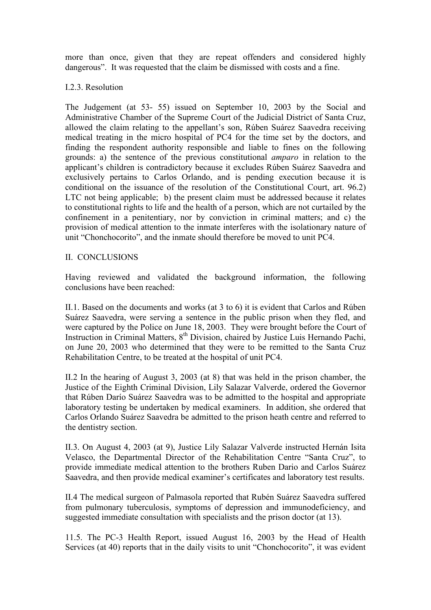more than once, given that they are repeat offenders and considered highly dangerous". It was requested that the claim be dismissed with costs and a fine.

### I.2.3. Resolution

The Judgement (at 53- 55) issued on September 10, 2003 by the Social and Administrative Chamber of the Supreme Court of the Judicial District of Santa Cruz, allowed the claim relating to the appellant's son, Rúben Suárez Saavedra receiving medical treating in the micro hospital of PC4 for the time set by the doctors, and finding the respondent authority responsible and liable to fines on the following grounds: a) the sentence of the previous constitutional *amparo* in relation to the applicant's children is contradictory because it excludes Rúben Suárez Saavedra and exclusively pertains to Carlos Orlando, and is pending execution because it is conditional on the issuance of the resolution of the Constitutional Court, art. 96.2) LTC not being applicable; b) the present claim must be addressed because it relates to constitutional rights to life and the health of a person, which are not curtailed by the confinement in a penitentiary, nor by conviction in criminal matters; and c) the provision of medical attention to the inmate interferes with the isolationary nature of unit "Chonchocorito", and the inmate should therefore be moved to unit PC4.

## II. CONCLUSIONS

Having reviewed and validated the background information, the following conclusions have been reached:

II.1. Based on the documents and works (at 3 to 6) it is evident that Carlos and Rúben Suárez Saavedra, were serving a sentence in the public prison when they fled, and were captured by the Police on June 18, 2003. They were brought before the Court of Instruction in Criminal Matters,  $8<sup>th</sup>$  Division, chaired by Justice Luis Hernando Pachi, on June 20, 2003 who determined that they were to be remitted to the Santa Cruz Rehabilitation Centre, to be treated at the hospital of unit PC4.

II.2 In the hearing of August 3, 2003 (at 8) that was held in the prison chamber, the Justice of the Eighth Criminal Division, Lily Salazar Valverde, ordered the Governor that Rúben Darío Suárez Saavedra was to be admitted to the hospital and appropriate laboratory testing be undertaken by medical examiners. In addition, she ordered that Carlos Orlando Suárez Saavedra be admitted to the prison heath centre and referred to the dentistry section.

II.3. On August 4, 2003 (at 9), Justice Lily Salazar Valverde instructed Hernán Isita Velasco, the Departmental Director of the Rehabilitation Centre "Santa Cruz", to provide immediate medical attention to the brothers Ruben Dario and Carlos Suárez Saavedra, and then provide medical examiner's certificates and laboratory test results.

II.4 The medical surgeon of Palmasola reported that Rubén Suárez Saavedra suffered from pulmonary tuberculosis, symptoms of depression and immunodeficiency, and suggested immediate consultation with specialists and the prison doctor (at 13).

11.5. The PC-3 Health Report, issued August 16, 2003 by the Head of Health Services (at 40) reports that in the daily visits to unit "Chonchocorito", it was evident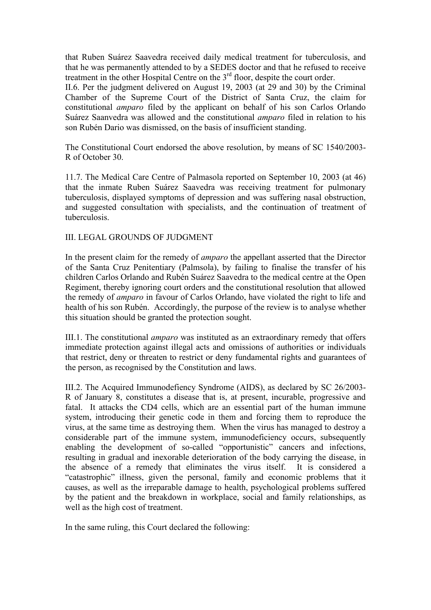that Ruben Suárez Saavedra received daily medical treatment for tuberculosis, and that he was permanently attended to by a SEDES doctor and that he refused to receive treatment in the other Hospital Centre on the 3<sup>rd</sup> floor, despite the court order.

II.6. Per the judgment delivered on August 19, 2003 (at 29 and 30) by the Criminal Chamber of the Supreme Court of the District of Santa Cruz, the claim for constitutional *amparo* filed by the applicant on behalf of his son Carlos Orlando Suárez Saanvedra was allowed and the constitutional *amparo* filed in relation to his son Rubén Dario was dismissed, on the basis of insufficient standing.

The Constitutional Court endorsed the above resolution, by means of SC 1540/2003- R of October 30.

11.7. The Medical Care Centre of Palmasola reported on September 10, 2003 (at 46) that the inmate Ruben Suárez Saavedra was receiving treatment for pulmonary tuberculosis, displayed symptoms of depression and was suffering nasal obstruction, and suggested consultation with specialists, and the continuation of treatment of tuberculosis.

### III. LEGAL GROUNDS OF JUDGMENT

In the present claim for the remedy of *amparo* the appellant asserted that the Director of the Santa Cruz Penitentiary (Palmsola), by failing to finalise the transfer of his children Carlos Orlando and Rubén Suárez Saavedra to the medical centre at the Open Regiment, thereby ignoring court orders and the constitutional resolution that allowed the remedy of *amparo* in favour of Carlos Orlando, have violated the right to life and health of his son Rubén. Accordingly, the purpose of the review is to analyse whether this situation should be granted the protection sought.

III.1. The constitutional *amparo* was instituted as an extraordinary remedy that offers immediate protection against illegal acts and omissions of authorities or individuals that restrict, deny or threaten to restrict or deny fundamental rights and guarantees of the person, as recognised by the Constitution and laws.

III.2. The Acquired Immunodefiency Syndrome (AIDS), as declared by SC 26/2003- R of January 8, constitutes a disease that is, at present, incurable, progressive and fatal. It attacks the CD4 cells, which are an essential part of the human immune system, introducing their genetic code in them and forcing them to reproduce the virus, at the same time as destroying them. When the virus has managed to destroy a considerable part of the immune system, immunodeficiency occurs, subsequently enabling the development of so-called "opportunistic" cancers and infections, resulting in gradual and inexorable deterioration of the body carrying the disease, in the absence of a remedy that eliminates the virus itself. It is considered a "catastrophic" illness, given the personal, family and economic problems that it causes, as well as the irreparable damage to health, psychological problems suffered by the patient and the breakdown in workplace, social and family relationships, as well as the high cost of treatment.

In the same ruling, this Court declared the following: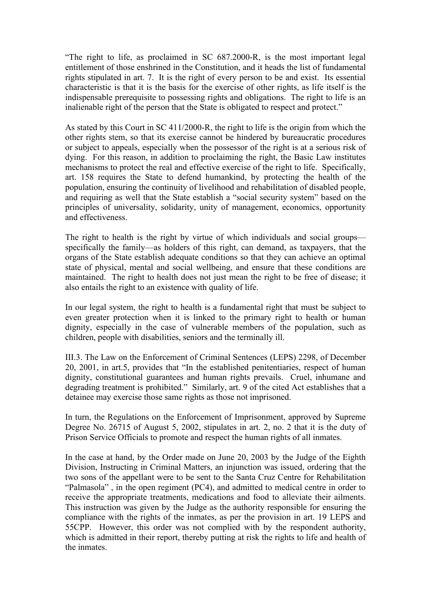"The right to life, as proclaimed in SC 687.2000-R, is the most important legal entitlement of those enshrined in the Constitution, and it heads the list of fundamental rights stipulated in art. 7. It is the right of every person to be and exist. Its essential characteristic is that it is the basis for the exercise of other rights, as life itself is the indispensable prerequisite to possessing rights and obligations. The right to life is an inalienable right of the person that the State is obligated to respect and protect."

As stated by this Court in SC 411/2000-R, the right to life is the origin from which the other rights stem, so that its exercise cannot be hindered by bureaucratic procedures or subject to appeals, especially when the possessor of the right is at a serious risk of dying. For this reason, in addition to proclaiming the right, the Basic Law institutes mechanisms to protect the real and effective exercise of the right to life. Specifically, art. 158 requires the State to defend humankind, by protecting the health of the population, ensuring the continuity of livelihood and rehabilitation of disabled people, and requiring as well that the State establish a "social security system" based on the principles of universality, solidarity, unity of management, economics, opportunity and effectiveness.

The right to health is the right by virtue of which individuals and social groups specifically the family—as holders of this right, can demand, as taxpayers, that the organs of the State establish adequate conditions so that they can achieve an optimal state of physical, mental and social wellbeing, and ensure that these conditions are maintained. The right to health does not just mean the right to be free of disease; it also entails the right to an existence with quality of life.

In our legal system, the right to health is a fundamental right that must be subject to even greater protection when it is linked to the primary right to health or human dignity, especially in the case of vulnerable members of the population, such as children, people with disabilities, seniors and the terminally ill.

III.3. The Law on the Enforcement of Criminal Sentences (LEPS) 2298, of December 20, 2001, in art.5, provides that "In the established penitentiaries, respect of human dignity, constitutional guarantees and human rights prevails. Cruel, inhumane and degrading treatment is prohibited." Similarly, art. 9 of the cited Act establishes that a detainee may exercise those same rights as those not imprisoned.

In turn, the Regulations on the Enforcement of Imprisonment, approved by Supreme Degree No. 26715 of August 5, 2002, stipulates in art. 2, no. 2 that it is the duty of Prison Service Officials to promote and respect the human rights of all inmates.

In the case at hand, by the Order made on June 20, 2003 by the Judge of the Eighth Division, Instructing in Criminal Matters, an injunction was issued, ordering that the two sons of the appellant were to be sent to the Santa Cruz Centre for Rehabilitation "Palmasola" , in the open regiment (PC4), and admitted to medical centre in order to receive the appropriate treatments, medications and food to alleviate their ailments. This instruction was given by the Judge as the authority responsible for ensuring the compliance with the rights of the inmates, as per the provision in art. 19 LEPS and 55CPP. However, this order was not complied with by the respondent authority, which is admitted in their report, thereby putting at risk the rights to life and health of the inmates.